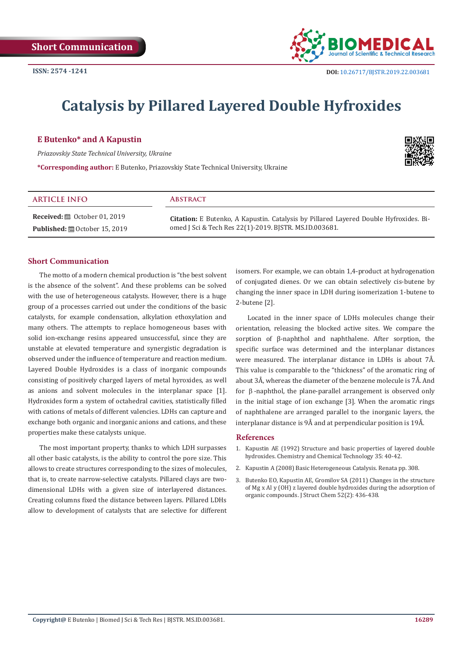

# **Catalysis by Pillared Layered Double Hyfroxides**

## **E Butenko\* and A Kapustin**

*Priazovskiy State Technical University, Ukraine*

**\*Corresponding author:** E Butenko, Priazovskiy State Technical University, Ukraine



| <b>ARTICLE INFO</b>                                   | ABSTRACT                                                                              |
|-------------------------------------------------------|---------------------------------------------------------------------------------------|
| <b>Received:</b> $\ddot{\mathbf{m}}$ October 01, 2019 | Citation: E Butenko, A Kapustin. Catalysis by Pillared Layered Double Hyfroxides. Bi- |
| <b>Published:</b> 圖 October 15, 2019                  | omed J Sci & Tech Res 22(1)-2019. BJSTR. MS.ID.003681.                                |

### **Short Communication**

The motto of a modern chemical production is "the best solvent is the absence of the solvent". And these problems can be solved with the use of heterogeneous catalysts. However, there is a huge group of a processes carried out under the conditions of the basic catalysts, for example condensation, alkylation ethoxylation and many others. The attempts to replace homogeneous bases with solid ion-exchange resins appeared unsuccessful, since they are unstable at elevated temperature and synergistic degradation is observed under the influence of temperature and reaction medium. Layered Double Hydroxides is a class of inorganic compounds consisting of positively charged layers of metal hyroxides, as well as anions and solvent molecules in the interplanar space [1]. Hydroxides form a system of octahedral cavities, statistically filled with cations of metals of different valencies. LDHs can capture and exchange both organic and inorganic anions and cations, and these properties make these catalysts unique.

The most important property, thanks to which LDH surpasses all other basic catalysts, is the ability to control the pore size. This allows to create structures corresponding to the sizes of molecules, that is, to create narrow-selective catalysts. Pillared clays are twodimensional LDHs with a given size of interlayered distances. Creating columns fixed the distance between layers. Pillared LDHs allow to development of catalysts that are selective for different isomers. For example, we can obtain 1,4-product at hydrogenation of conjugated dienes. Or we can obtain selectively cis-butene by changing the inner space in LDH during isomerization 1-butene to 2-butene [2].

Located in the inner space of LDHs molecules change their orientation, releasing the blocked active sites. We compare the sorption of β-naphthol and naphthalene. After sorption, the specific surface was determined and the interplanar distances were measured. The interplanar distance in LDHs is about 7Å. This value is comparable to the "thickness" of the aromatic ring of about 3Å, whereas the diameter of the benzene molecule is 7Å. And for  $\beta$ -naphthol, the plane-parallel arrangement is observed only in the initial stage of ion exchange [3]. When the aromatic rings of naphthalene are arranged parallel to the inorganic layers, the interplanar distance is 9Å and at perpendicular position is 19Å.

#### **References**

- 1. Kapustin AE (1992) Structure and basic properties of layered double hydroxides. Chemistry and Chemical Technology 35: 40-42.
- 2. Kapustin A (2008) Basic Heterogeneous Catalysis. Renata pp. 308.
- 3. [Butenko EO, Kapustin AE, Gromilov SA \(2011\) Changes in the structure](https://link.springer.com/article/10.1134/S0022476611020284) [of Mg x Al y \(OH\) z layered double hydroxides during the adsorption of](https://link.springer.com/article/10.1134/S0022476611020284) [organic compounds. J Struct Chem 52\(2\): 436-438.](https://link.springer.com/article/10.1134/S0022476611020284)